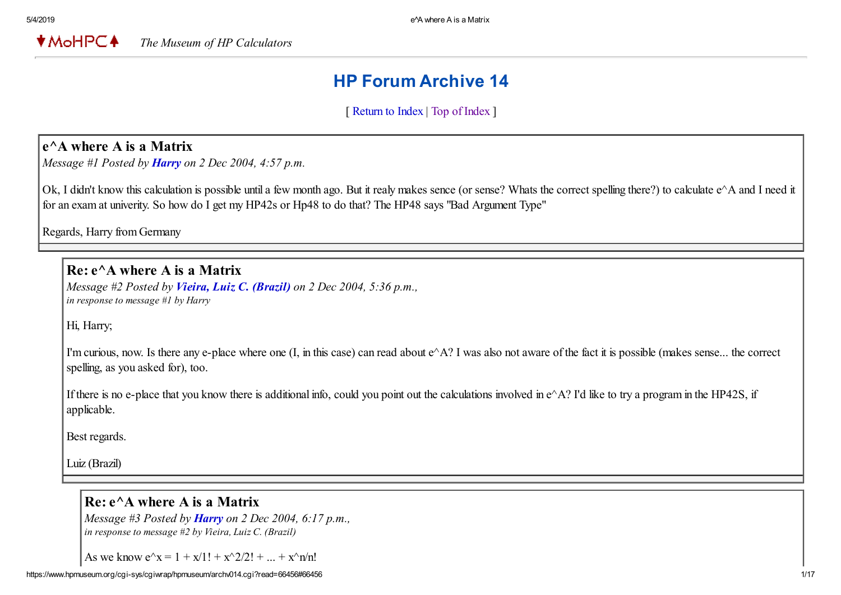**★MoHPC4** *The Museum of HP Calculators*

# HP Forum Archive 14

[ [Return to Index](https://www.hpmuseum.org/cgi-sys/cgiwrap/hpmuseum/archv014.cgi#66418) | [Top of Index](https://www.hpmuseum.org/cgi-sys/cgiwrap/hpmuseum/archv014.cgi) ]

## e^A where A is a Matrix

*Message #1 Posted by [Harry](https://www.hpmuseum.org/cgi-sys/cgiwrap/hpmuseum/archv014.cgi?contact=66418) on 2 Dec 2004, 4:57 p.m.*

Ok, I didn't know this calculation is possible until a few month ago. But it realy makes sence (or sense? Whats the correct spelling there?) to calculate e^A and I need it for an exam at univerity. So how do I get my HP42s or Hp48 to do that? The HP48 says "Bad Argument Type"

Regards, Harry from Germany

 $Re: e^{\wedge}$  where A is a Matrix

*Message #2 Posted by [Vieira, Luiz C. \(Brazil\)](https://www.hpmuseum.org/cgi-sys/cgiwrap/hpmuseum/archv014.cgi?contact=66419) on 2 Dec 2004, 5:36 p.m., in response to message #1 by Harry*

Hi, Harry;

I'm curious, now. Is there any e-place where one  $(I, \text{ in this case})$  can read about  $e^{\wedge}A$ ? I was also not aware of the fact it is possible (makes sense... the correct spelling, as you asked for), too.

If there is no e-place that you know there is additional info, could you point out the calculations involved in  $e^{\wedge}A$ ? I'd like to try a program in the HP42S, if applicable.

Best regards.

Luiz (Brazil)

#### $Re: e^A$  where A is a Matrix

*Message #3 Posted by [Harry](https://www.hpmuseum.org/cgi-sys/cgiwrap/hpmuseum/archv014.cgi?contact=66422) on 2 Dec 2004, 6:17 p.m., in response to message #2 by Vieira, Luiz C. (Brazil)*

As we know  $e^{\lambda}x = 1 + x/1! + x^{\lambda}2/2! + ... + x^{\lambda}n/n!$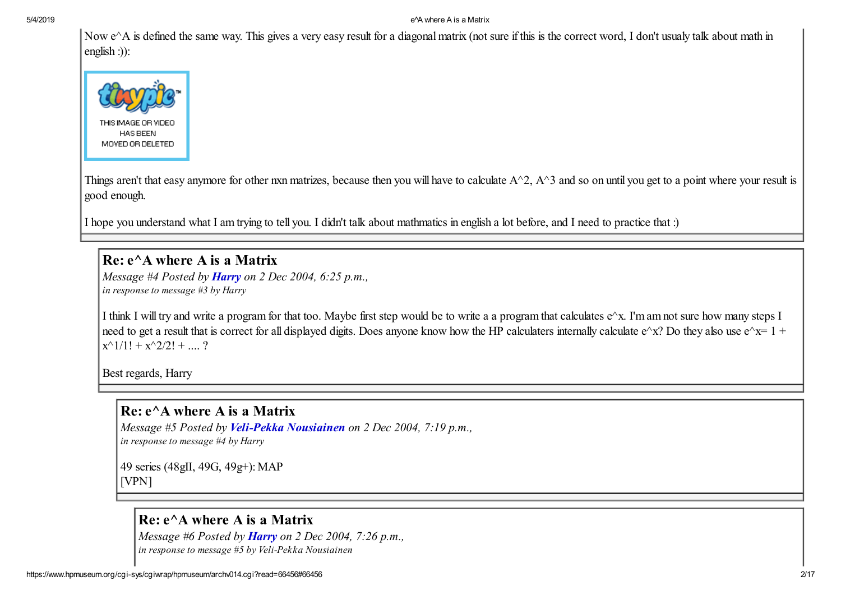#### 5/4/2019 e^A where A is a Matrix

Now e^A is defined the same way. This gives a very easy result for a diagonal matrix (not sure if this is the correct word, I don't usualy talk about math in english :)):



Things aren't that easy anymore for other nxn matrizes, because then you will have to calculate  $A^2$ ,  $A^3$  and so on until you get to a point where your result is good enough.

I hope you understand what I am trying to tell you. I didn't talk about mathmatics in english a lot before, and I need to practice that :)

#### Re: e^A where A is a Matrix

*Message #4 Posted by [Harry](https://www.hpmuseum.org/cgi-sys/cgiwrap/hpmuseum/archv014.cgi?contact=66424) on 2 Dec 2004, 6:25 p.m., in response to message #3 by Harry*

I think I will try and write a program for that too. Maybe first step would be to write a a program that calculates e^x. I'm am not sure how many steps I need to get a result that is correct for all displayed digits. Does anyone know how the HP calculaters internally calculate  $e^{\lambda}x$ ? Do they also use  $e^{\lambda}x=1 +$  $x^{\wedge}1/1! + x^{\wedge}2/2! + ... ?$ 

Best regards, Harry

## Re: e^A where A is a Matrix

*Message #5 Posted by [Veli-Pekka Nousiainen](https://www.hpmuseum.org/cgi-sys/cgiwrap/hpmuseum/archv014.cgi?contact=66430) on 2 Dec 2004, 7:19 p.m., in response to message #4 by Harry*

49 series (48gII, 49G, 49g+): MAP [VPN]

## Re: e^A where A is a Matrix

*Message #6 Posted by [Harry](https://www.hpmuseum.org/cgi-sys/cgiwrap/hpmuseum/archv014.cgi?contact=66431) on 2 Dec 2004, 7:26 p.m., in response to message #5 by Veli-Pekka Nousiainen*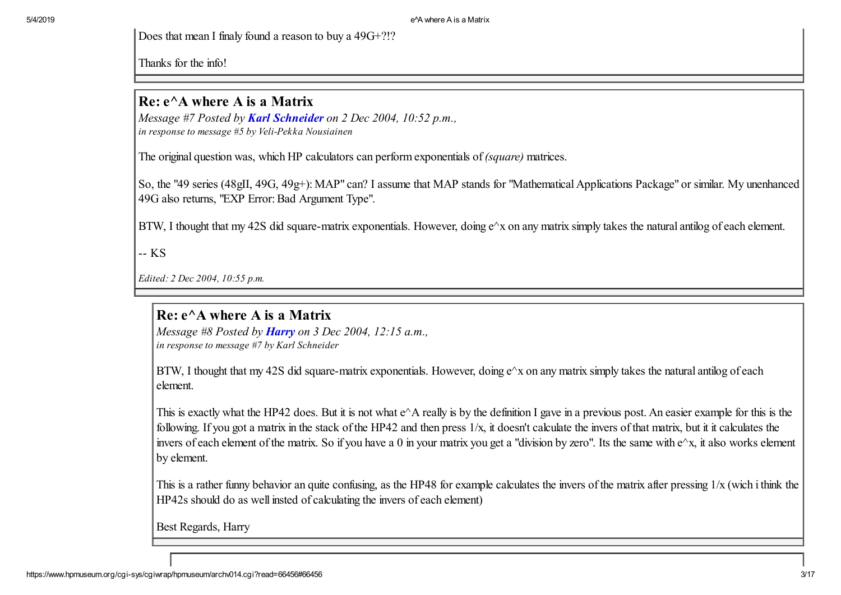Does that mean I finaly found a reason to buy a 49G+?!?

Thanks for the info!

## $Re: e^{\wedge}$  where A is a Matrix

*Message #7 Posted by [Karl Schneider](https://www.hpmuseum.org/cgi-sys/cgiwrap/hpmuseum/archv014.cgi?contact=66439) on 2 Dec 2004, 10:52 p.m., in response to message #5 by Veli-Pekka Nousiainen*

The original question was, which HP calculators can perform exponentials of *(square)* matrices.

So, the "49 series (48gII, 49G, 49g+): MAP" can? I assume that MAP stands for "Mathematical Applications Package" or similar. My unenhanced 49G also returns, "EXP Error: Bad Argument Type".

BTW, I thought that my 42S did square-matrix exponentials. However, doing  $e^{\lambda}x$  on any matrix simply takes the natural antilog of each element.

-- KS

*Edited: 2 Dec 2004, 10:55 p.m.*

## $Re: e^{\wedge}$  where A is a Matrix

*Message #8 Posted by [Harry](https://www.hpmuseum.org/cgi-sys/cgiwrap/hpmuseum/archv014.cgi?contact=66443) on 3 Dec 2004, 12:15 a.m., in response to message #7 by Karl Schneider*

BTW, I thought that my 42S did square-matrix exponentials. However, doing e^x on any matrix simply takes the natural antilog of each element.

This is exactly what the HP42 does. But it is not what e^A really is by the definition I gave in a previous post. An easier example for this is the following. If you got a matrix in the stack of the HP42 and then press  $1/x$ , it doesn't calculate the invers of that matrix, but it it calculates the invers of each element of the matrix. So if you have a 0 in your matrix you get a "division by zero". Its the same with e^x, it also works element by element.

This is a rather funny behavior an quite confusing, as the HP48 for example calculates the invers of the matrix after pressing 1/x (wich i think the HP42s should do as well insted of calculating the invers of each element)

Best Regards, Harry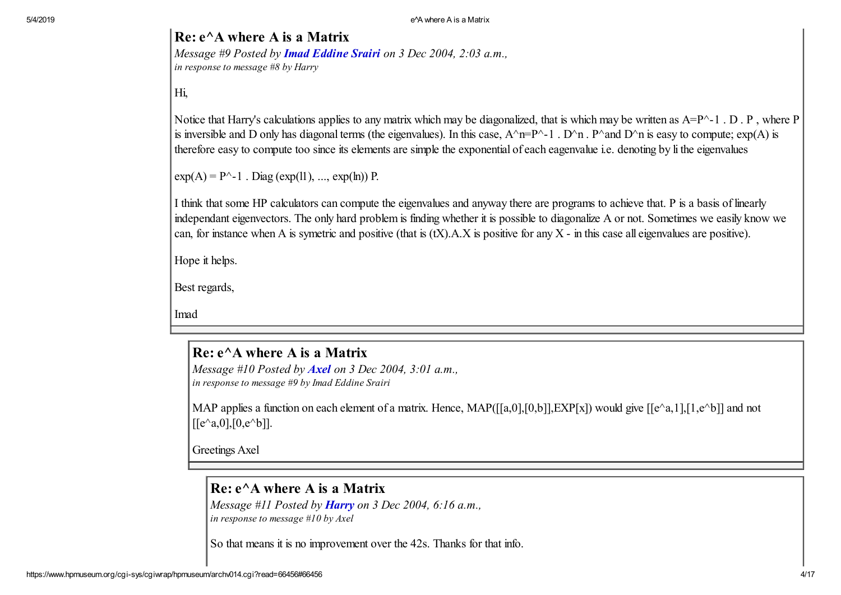5/4/2019 e^A where A is a Matrix

#### Re: e^A where A is a Matrix

*Message #9 Posted by [Imad Eddine Srairi](https://www.hpmuseum.org/cgi-sys/cgiwrap/hpmuseum/archv014.cgi?contact=66450) on 3 Dec 2004, 2:03 a.m., in response to message #8 by Harry*

Hi,

Notice that Harry's calculations applies to any matrix which may be diagonalized, that is which may be written as A=P^-1. D. P, where P is inversible and D only has diagonal terms (the eigenvalues). In this case,  $A^nP^{-n-1}$ .  $D^n$  .  $P^n$  and  $D^n$  is easy to compute;  $\exp(A)$  is therefore easy to compute too since its elements are simple the exponential of each eagenvalue i.e. denoting by li the eigenvalues

 $exp(A) = P^{\wedge} - 1$ . Diag ( $exp(11)$ , ...,  $exp(ln)$ ) P.

I think that some HP calculators can compute the eigenvalues and anyway there are programs to achieve that. P is a basis of linearly independant eigenvectors. The only hard problem is finding whether it is possible to diagonalize A or not. Sometimes we easily know we can, for instance when A is symetric and positive (that is  $(tX)$ , A, X is positive for any X - in this case all eigenvalues are positive).

Hope it helps.

Best regards,

Imad

## Re: e^A where A is a Matrix

*Message #10 Posted by [Axel](https://www.hpmuseum.org/cgi-sys/cgiwrap/hpmuseum/archv014.cgi?contact=66451) on 3 Dec 2004, 3:01 a.m., in response to message #9 by Imad Eddine Srairi*

MAP applies a function on each element of a matrix. Hence, MAP( $[[a,0],[0,b]]$ ,  $EXP[x]$ ) would give  $[[e^a,1],[1,e^b]]$  and not  $[[e^{\wedge}a,0],[0,e^{\wedge}b]].$ 

Greetings Axel

## $Re: e^{\wedge}$  where A is a Matrix

*Message #11 Posted by [Harry](https://www.hpmuseum.org/cgi-sys/cgiwrap/hpmuseum/archv014.cgi?contact=66464) on 3 Dec 2004, 6:16 a.m., in response to message #10 by Axel*

So that means it is no improvement over the 42s. Thanks for that info.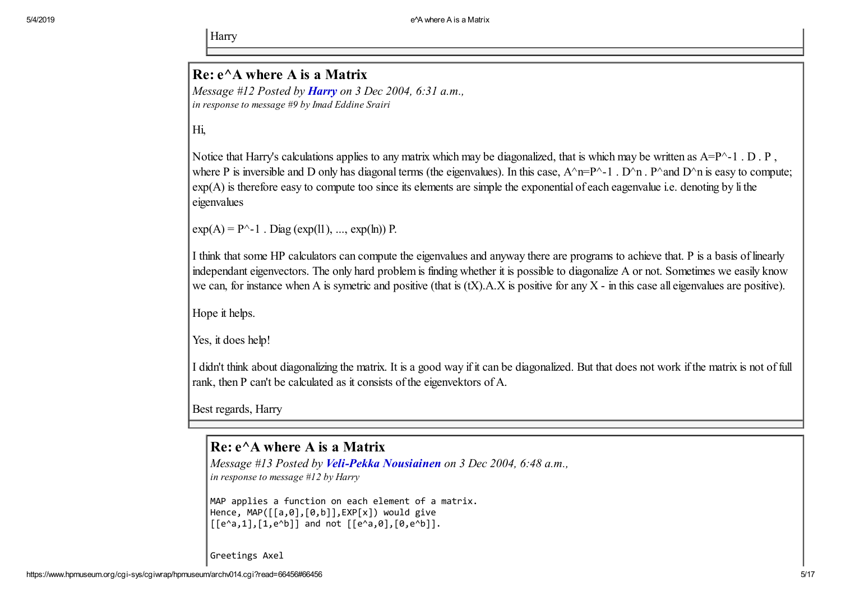Harry

## $Re: e^{\wedge}$  where A is a Matrix

*Message #12 Posted by [Harry](https://www.hpmuseum.org/cgi-sys/cgiwrap/hpmuseum/archv014.cgi?contact=66467) on 3 Dec 2004, 6:31 a.m., in response to message #9 by Imad Eddine Srairi*

Hi,

Notice that Harry's calculations applies to any matrix which may be diagonalized, that is which may be written as A=P^-1 . D . P, where P is inversible and D only has diagonal terms (the eigenvalues). In this case,  $A^{\wedge}n=P^{\wedge}-1$ .  $D^{\wedge}n$ .  $P^{\wedge}$  and  $D^{\wedge}n$  is easy to compute; exp(A) is therefore easy to compute too since its elements are simple the exponential of each eagenvalue i.e. denoting by li the eigenvalues

 $exp(A) = P^{\wedge} - 1$ . Diag ( $exp(11)$ , ...,  $exp(h)$ ) P.

I think that some HP calculators can compute the eigenvalues and anyway there are programs to achieve that. P is a basis of linearly independant eigenvectors. The only hard problem is finding whether it is possible to diagonalize A or not. Sometimes we easily know we can, for instance when A is symetric and positive (that is  $(tX)$ ). A.X is positive for any X - in this case all eigenvalues are positive).

Hope it helps.

Yes, it does help!

I didn't think about diagonalizing the matrix. It is a good way if it can be diagonalized. But that does not work if the matrix is not of full rank, then P can't be calculated as it consists of the eigenvektors of A.

Best regards, Harry

## $Re: e^A$  where A is a Matrix

*Message #13 Posted by [Veli-Pekka Nousiainen](https://www.hpmuseum.org/cgi-sys/cgiwrap/hpmuseum/archv014.cgi?contact=66468) on 3 Dec 2004, 6:48 a.m., in response to message #12 by Harry*

MAP applies a function on each element of a matrix. Hence, MAP([[a,0],[0,b]],EXP[x]) would give  $[ [e^{\lambda}a,1], [1,e^{\lambda}b]]$  and not  $[ [e^{\lambda}a,0], [0,e^{\lambda}b]]$ .

Greetings Axel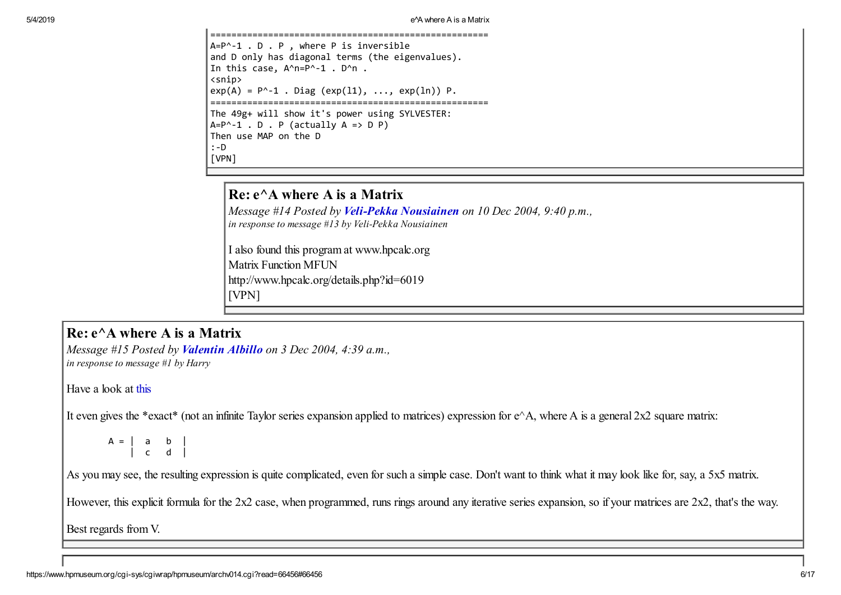```
=====================================================
A=P^-1 . D . P , where P is inversible
and D only has diagonal terms (the eigenvalues).
In this case, A^n=P^n-1 . D^nn .
<snip>
exp(A) = P^{\wedge}-1. Diag (exp(11), ..., exp(1n)) P.
=====================================================
The 49g+ will show it's power using SYLVESTER:
A = P^{\wedge} - 1 . D . P (actually A = D P)
Then use MAP on the D
:-D
[VPN]
```
#### Re: e^A where A is a Matrix

*Message #14 Posted by [Veli-Pekka Nousiainen](https://www.hpmuseum.org/cgi-sys/cgiwrap/hpmuseum/archv014.cgi?contact=66763) on 10 Dec 2004, 9:40 p.m., in response to message #13 by Veli-Pekka Nousiainen*

I also found this program at www.hpcalc.org Matrix Function MFUN http://www.hpcalc.org/details.php?id=6019 [VPN]

## $Re: e^{\wedge}$  where A is a Matrix

*Message #15 Posted by [Valentin Albillo](https://www.hpmuseum.org/cgi-sys/cgiwrap/hpmuseum/archv014.cgi?contact=66456) on 3 Dec 2004, 4:39 a.m., in response to message #1 by Harry*

Have a look at [this](http://mathworld.wolfram.com/MatrixExponential.html)

It even gives the \*exact\* (not an infinite Taylor series expansion applied to matrices) expression for  $e^A A$ , where A is a general 2x2 square matrix:

A = | a b | | c d |

As you may see, the resulting expression is quite complicated, even for such a simple case. Don't want to think what it may look like for, say, a 5x5 matrix.

However, this explicit formula for the 2x2 case, when programmed, runs rings around any iterative series expansion, so if your matrices are 2x2, that's the way.

Best regards from V.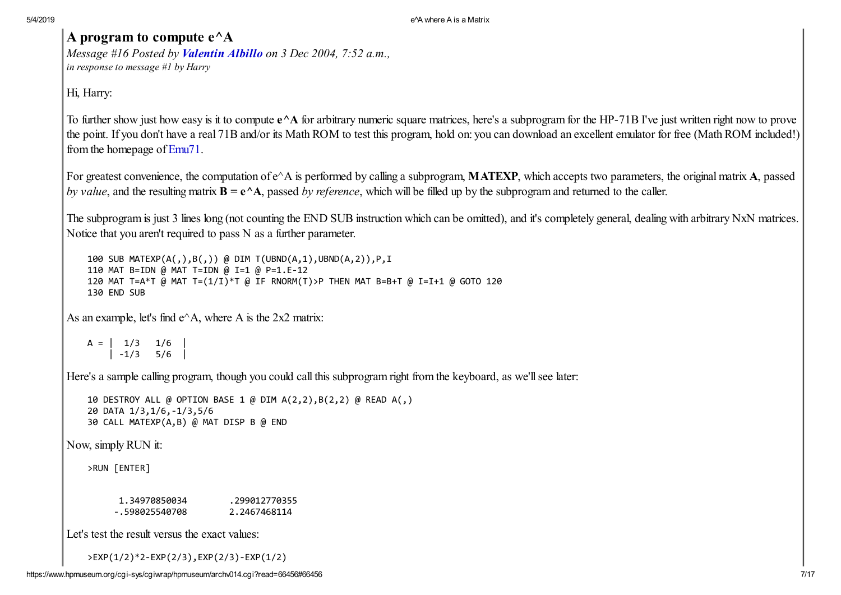## A program to compute  $e^{\Lambda}$ A

*Message #16 Posted by [Valentin Albillo](https://www.hpmuseum.org/cgi-sys/cgiwrap/hpmuseum/archv014.cgi?contact=66485) on 3 Dec 2004, 7:52 a.m., in response to message #1 by Harry*

Hi, Harry:

To further show just how easy is it to compute  $e^{\wedge}A$  for arbitrary numeric square matrices, here's a subprogram for the HP-71B I've just written right now to prove the point. If you don't have a real 71B and/or its Math ROM to test this program, hold on: you can download an excellent emulator for free (Math ROM included!) from the homepage of [Emu71.](http://membres.lycos.fr/jeffcalc/emu71.html)

For greatest convenience, the computation of e^A is performed by calling a subprogram, **MATEXP**, which accepts two parameters, the original matrix A, passed *by value*, and the resulting matrix B = e^A, passed *by reference*, which will be filled up by the subprogram and returned to the caller.

The subprogram is just 3 lines long (not counting the END SUB instruction which can be omitted), and it's completely general, dealing with arbitrary NxN matrices. Notice that you aren't required to pass N as a further parameter.

100 SUB MATEXP(A(,),B(,)) @ DIM T(UBND(A,1),UBND(A,2)),P,I 110 MAT B=IDN @ MAT T=IDN @ I=1 @ P=1.E-12 120 MAT T=A\*T @ MAT T=(1/I)\*T @ IF RNORM(T)>P THEN MAT B=B+T @ I=I+1 @ GOTO 120 130 END SUB

As an example, let's find  $e^{\wedge}A$ , where A is the 2x2 matrix:

 $A = \begin{pmatrix} 1/3 & 1/6 \end{pmatrix}$  $|-1/3$  5/6

Here's a sample calling program, though you could call this subprogram right from the keyboard, as we'll see later:

```
10 DESTROY ALL @ OPTION BASE 1 @ DIM A(2,2),B(2,2) @ READ A(,)
20 DATA 1/3,1/6,-1/3,5/6
30 CALL MATEXP(A,B) @ MAT DISP B @ END
```
Now, simply RUN it:

>RUN [ENTER]

1.34970850034 .299012770355 -.598025540708 2.2467468114

Let's test the result versus the exact values:

>EXP(1/2)\*2-EXP(2/3),EXP(2/3)-EXP(1/2)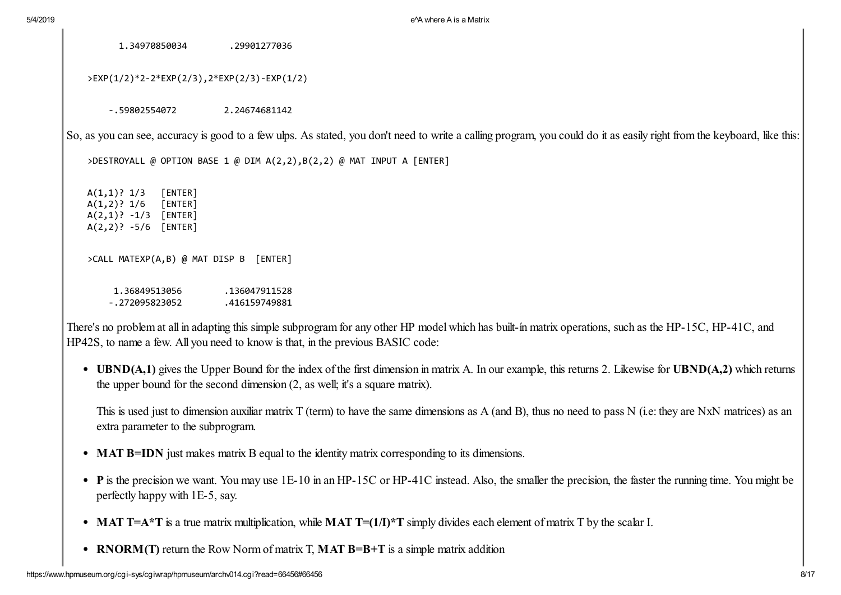1.34970850034 .29901277036

>EXP(1/2)\*2-2\*EXP(2/3),2\*EXP(2/3)-EXP(1/2)

-.59802554072 2.24674681142

So, as you can see, accuracy is good to a few ulps. As stated, you don't need to write a calling program, you could do it as easily right from the keyboard, like this:

>DESTROYALL @ OPTION BASE 1 @ DIM A(2,2),B(2,2) @ MAT INPUT A [ENTER]

A(1,1)? 1/3 [ENTER] A(1,2)? 1/6 [ENTER] A(2,1)? -1/3 [ENTER] A(2,2)? -5/6 [ENTER]

>CALL MATEXP(A,B) @ MAT DISP B [ENTER]

| 1.36849513056  | .136047911528 |
|----------------|---------------|
| -.272095823052 | .416159749881 |

There's no problem at all in adapting this simple subprogram for any other HP model which has built-ín matrix operations, such as the HP-15C, HP-41C, and HP42S, to name a few. All you need to know is that, in the previous BASIC code:

• UBND(A,1) gives the Upper Bound for the index of the first dimension in matrix A. In our example, this returns 2. Likewise for UBND(A,2) which returns the upper bound for the second dimension (2, as well; it's a square matrix).

This is used just to dimension auxiliar matrix T (term) to have the same dimensions as A (and B), thus no need to pass N (i.e: they are NxN matrices) as an extra parameter to the subprogram.

- **MAT B=IDN** just makes matrix B equal to the identity matrix corresponding to its dimensions.
- P is the precision we want. You may use 1E-10 in an HP-15C or HP-41C instead. Also, the smaller the precision, the faster the running time. You might be perfectly happy with 1E-5, say.
- MAT T=A\*T is a true matrix multiplication, while MAT T= $(1/\Gamma)$ \*T simply divides each element of matrix T by the scalar I.
- RNORM(T) return the Row Norm of matrix T, MAT B=B+T is a simple matrix addition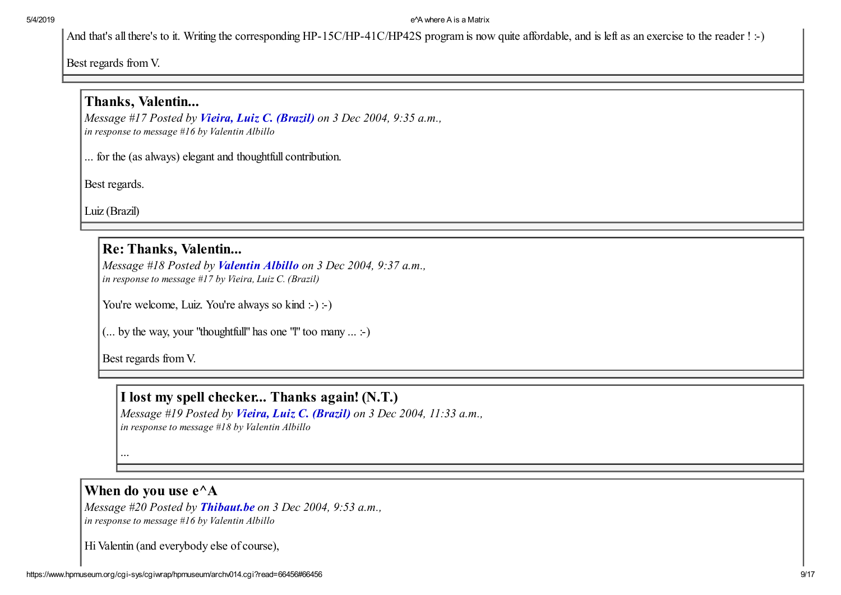And that's all there's to it. Writing the corresponding HP-15C/HP-41C/HP42S program is now quite affordable, and is left as an exercise to the reader ! :-)

Best regards from V.

## Thanks, Valentin...

*Message #17 Posted by [Vieira, Luiz C. \(Brazil\)](https://www.hpmuseum.org/cgi-sys/cgiwrap/hpmuseum/archv014.cgi?contact=66494) on 3 Dec 2004, 9:35 a.m., in response to message #16 by Valentin Albillo*

... for the (as always) elegant and thoughtfull contribution.

Best regards.

Luiz (Brazil)

## Re: Thanks, Valentin...

*Message #18 Posted by [Valentin Albillo](https://www.hpmuseum.org/cgi-sys/cgiwrap/hpmuseum/archv014.cgi?contact=66495) on 3 Dec 2004, 9:37 a.m., in response to message #17 by Vieira, Luiz C. (Brazil)*

You're welcome, Luiz. You're always so kind :-) :-)

(... by the way, your "thoughtfull" has one "I" too many  $\dots \div$ )

Best regards from V.

I lost my spell checker... Thanks again! (N.T.)

*Message #19 Posted by [Vieira, Luiz C. \(Brazil\)](https://www.hpmuseum.org/cgi-sys/cgiwrap/hpmuseum/archv014.cgi?contact=66511) on 3 Dec 2004, 11:33 a.m., in response to message #18 by Valentin Albillo*

...

## When do you use  $e^{\Lambda}$ A

*Message #20 Posted by [Thibaut.be](https://www.hpmuseum.org/cgi-sys/cgiwrap/hpmuseum/archv014.cgi?contact=66497) on 3 Dec 2004, 9:53 a.m., in response to message #16 by Valentin Albillo*

Hi Valentin (and everybody else of course),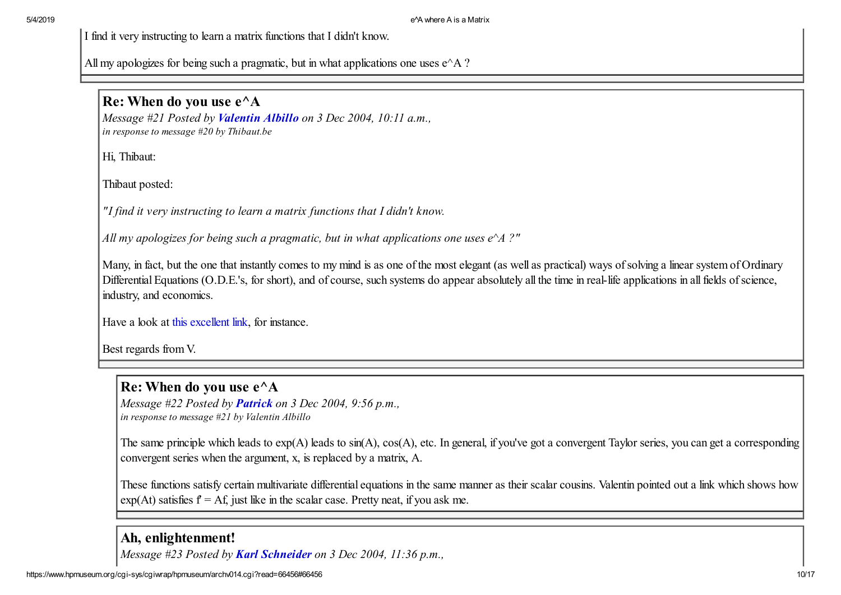I find it very instructing to learn a matrix functions that I didn't know.

All my apologizes for being such a pragmatic, but in what applications one uses  $e^{\wedge} A$  ?

#### Re: When do you use e^A

*Message #21 Posted by [Valentin Albillo](https://www.hpmuseum.org/cgi-sys/cgiwrap/hpmuseum/archv014.cgi?contact=66505) on 3 Dec 2004, 10:11 a.m., in response to message #20 by Thibaut.be*

Hi, Thibaut:

Thibaut posted:

*"I find it very instructing to learn a matrix functions that I didn't know.*

*All my apologizes for being such a pragmatic, but in what applications one uses e^A ?"*

Many, in fact, but the one that instantly comes to my mind is as one of the most elegant (as well as practical) ways of solving a linear system of Ordinary Differential Equations (O.D.E.'s, for short), and of course, such systems do appear absolutely all the time in real-life applications in all fields of science, industry, and economics.

Have a look at [this excellent link](http://math.fullerton.edu/mathews/n2003/MatrixExponentialMod.html), for instance.

Best regards from V.

## Re: When do you use e^A

*Message #22 Posted by [Patrick](https://www.hpmuseum.org/cgi-sys/cgiwrap/hpmuseum/archv014.cgi?contact=66523) on 3 Dec 2004, 9:56 p.m., in response to message #21 by Valentin Albillo*

The same principle which leads to exp(A) leads to sin(A), cos(A), etc. In general, if you've got a convergent Taylor series, you can get a corresponding convergent series when the argument, x, is replaced by a matrix, A.

These functions satisfy certain multivariate differential equations in the same manner as their scalar cousins. Valentin pointed out a link which shows how  $\exp(At)$  satisfies  $f = Af$ , just like in the scalar case. Pretty neat, if you ask me.

#### Ah, enlightenment!

*Message #23 Posted by [Karl Schneider](https://www.hpmuseum.org/cgi-sys/cgiwrap/hpmuseum/archv014.cgi?contact=66524) on 3 Dec 2004, 11:36 p.m.,*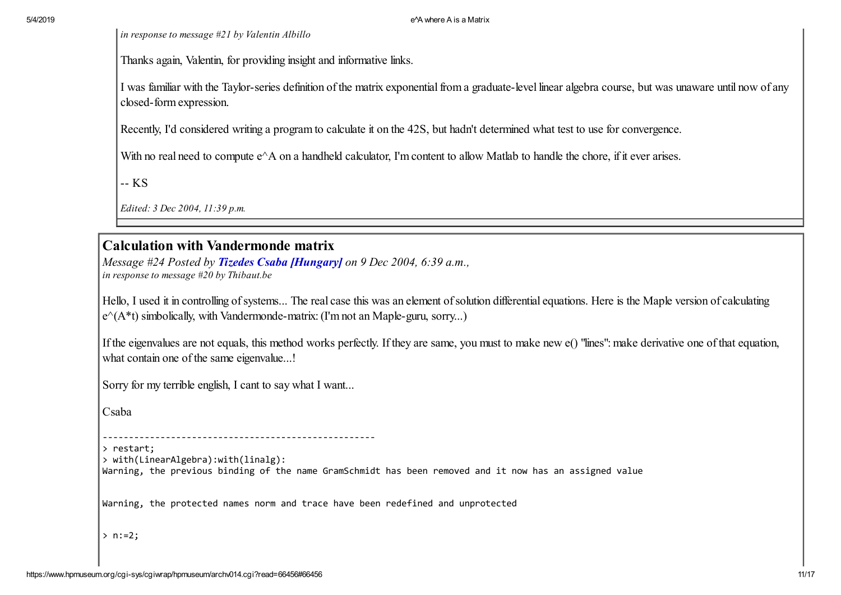*in response to message #21 by Valentin Albillo*

Thanks again, Valentin, for providing insight and informative links.

I was familiar with the Taylor-series definition of the matrix exponential from a graduate-level linear algebra course, but was unaware until now of any closed-form expression.

Recently, I'd considered writing a program to calculate it on the 42S, but hadn't determined what test to use for convergence.

With no real need to compute  $e^{\wedge}A$  on a handheld calculator, I'm content to allow Matlab to handle the chore, if it ever arises.

-- KS

*Edited: 3 Dec 2004, 11:39 p.m.*

#### Calculation with Vandermonde matrix

*Message #24 Posted by [Tizedes Csaba \[Hungary\]](https://www.hpmuseum.org/cgi-sys/cgiwrap/hpmuseum/archv014.cgi?contact=66689) on 9 Dec 2004, 6:39 a.m., in response to message #20 by Thibaut.be*

Hello, I used it in controlling of systems... The real case this was an element of solution differential equations. Here is the Maple version of calculating  $\rm \ket{e}$  (A\*t) simbolically, with Vandermonde-matrix: (I'm not an Maple-guru, sorry...)

If the eigenvalues are not equals, this method works perfectly. If they are same, you must to make new e() "lines": make derivative one of that equation, what contain one of the same eigenvalue...!

Sorry for my terrible english, I cant to say what I want...

Csaba

> restart;

> with(LinearAlgebra):with(linalg):

Warning, the previous binding of the name GramSchmidt has been removed and it now has an assigned value

Warning, the protected names norm and trace have been redefined and unprotected

 $> n := 2;$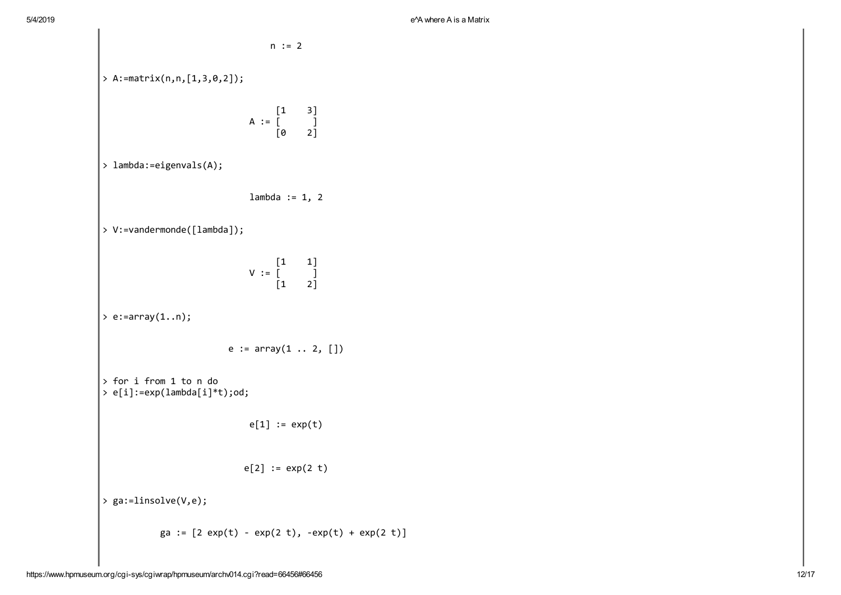$\overline{\phantom{a}}$ 

n := 2 > A:=matrix(n,n,[1,3,0,2]); [1 3] A := [ ] [0 2] > lambda:=eigenvals(A); lambda := 1, 2 > V:=vandermonde([lambda]); [1 1] V := [ ] [1 2] > e:=array(1..n); e := array(1 .. 2, []) > for i from 1 to n do > e[i]:=exp(lambda[i]\*t);od; e[1] := exp(t) e[2] := exp(2 t) > ga:=linsolve(V,e); ga := [2 exp(t) - exp(2 t), -exp(t) + exp(2 t)]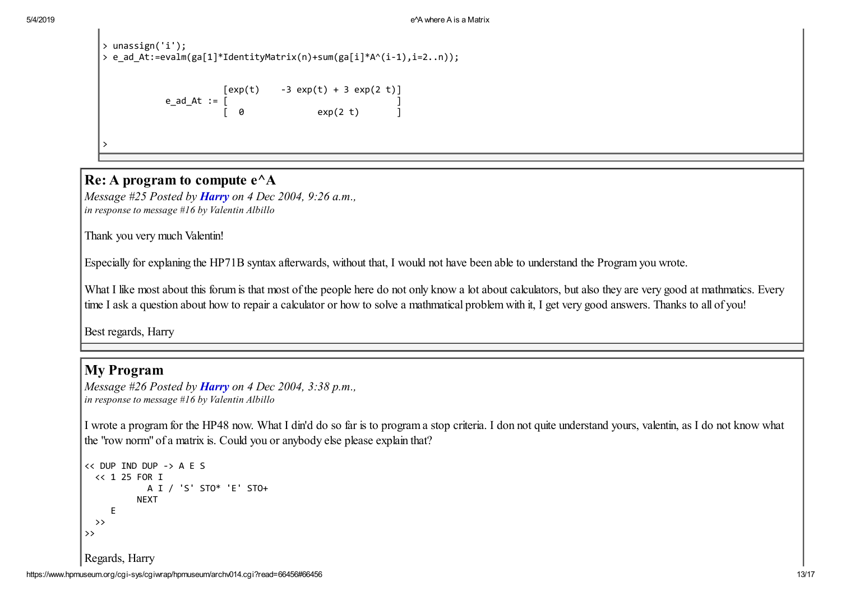```
> unassign('i');
> e_ad_At:=evalm(ga[1]*IdentityMatrix(n)+sum(ga[i]*A^(i-1),i=2..n));
                     [exp(t) -3 exp(t) + 3 exp(2 t)]e ad At := \lceil[0] exp(2 t) [1]>
```
#### Re: A program to compute  $e^{\Lambda}$ A

*Message #25 Posted by [Harry](https://www.hpmuseum.org/cgi-sys/cgiwrap/hpmuseum/archv014.cgi?contact=66529) on 4 Dec 2004, 9:26 a.m., in response to message #16 by Valentin Albillo*

Thank you very much Valentin!

Especially for explaning the HP71B syntax afterwards, without that, I would not have been able to understand the Program you wrote.

What I like most about this forum is that most of the people here do not only know a lot about calculators, but also they are very good at mathmatics. Every time I ask a question about how to repair a calculator or how to solve a mathmatical problem with it, I get very good answers. Thanks to all of you!

Best regards, Harry

## My Program

```
Message #26 Posted by Harry on 4 Dec 2004, 3:38 p.m.,
in response to message #16 by Valentin Albillo
```
I wrote a program for the HP48 now. What I din'd do so far is to program a stop criteria. I don not quite understand yours, valentin, as I do not know what the "row norm" of a matrix is. Could you or anybody else please explain that?

```
<< DUP IND DUP -> A E S
  << 1 25 FOR I
            A I / 'S' STO* 'E' STO+
          NEXT
     E
  >>
>>
Regards, Harry
```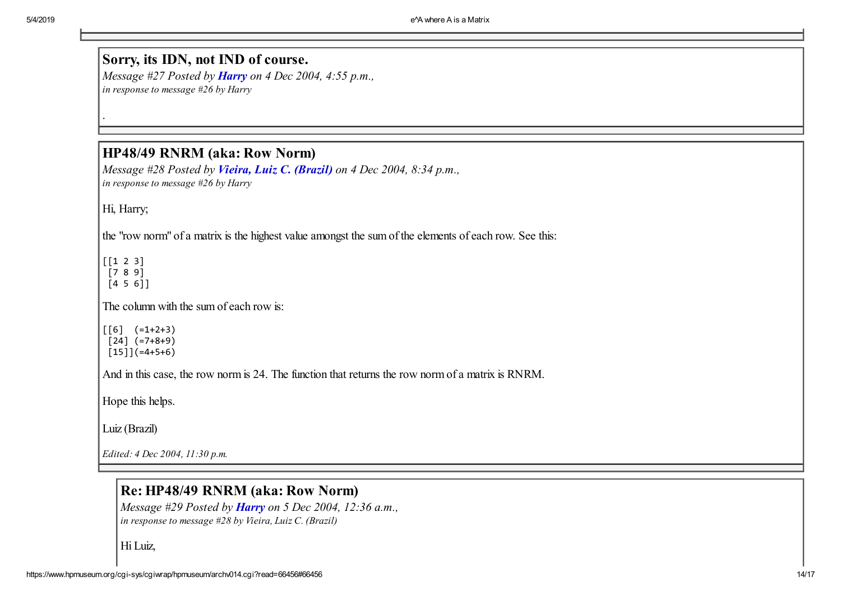# Sorry, its IDN, not IND of course.

*Message #27 Posted by [Harry](https://www.hpmuseum.org/cgi-sys/cgiwrap/hpmuseum/archv014.cgi?contact=66539) on 4 Dec 2004, 4:55 p.m., in response to message #26 by Harry*

#### HP48/49 RNRM (aka: Row Norm)

*Message #28 Posted by [Vieira, Luiz C. \(Brazil\)](https://www.hpmuseum.org/cgi-sys/cgiwrap/hpmuseum/archv014.cgi?contact=66543) on 4 Dec 2004, 8:34 p.m., in response to message #26 by Harry*

Hi, Harry;

.

the "row norm" of a matrix is the highest value amongst the sum of the elements of each row. See this:

 $[1 2 3]$ [7 8 9]

[4 5 6]]

The column with the sum of each row is:

 $\lceil 6 \rceil$  (=1+2+3)  $[24]$  (=7+8+9)  $[15]$ ](=4+5+6)

And in this case, the row norm is 24. The function that returns the row norm of a matrix is RNRM.

Hope this helps.

Luiz (Brazil)

*Edited: 4 Dec 2004, 11:30 p.m.*

## Re: HP48/49 RNRM (aka: Row Norm)

*Message #29 Posted by [Harry](https://www.hpmuseum.org/cgi-sys/cgiwrap/hpmuseum/archv014.cgi?contact=66546) on 5 Dec 2004, 12:36 a.m., in response to message #28 by Vieira, Luiz C. (Brazil)*

Hi Luiz,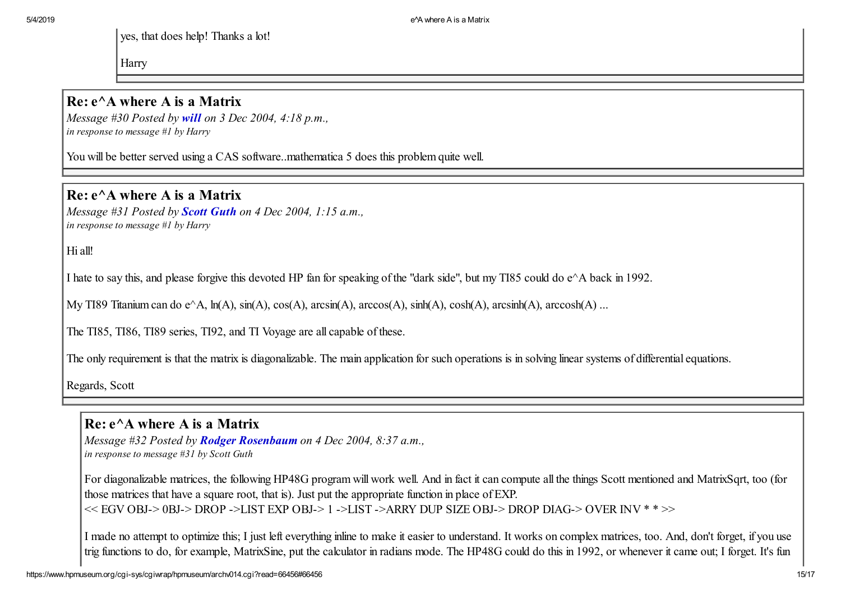yes, that does help! Thanks a lot!

Harry

#### $Re: e^{\wedge}$  where A is a Matrix

*Message #30 Posted by [will](https://www.hpmuseum.org/cgi-sys/cgiwrap/hpmuseum/archv014.cgi?contact=66519) on 3 Dec 2004, 4:18 p.m., in response to message #1 by Harry*

You will be better served using a CAS software..mathematica 5 does this problem quite well.

## $Re: e^{\wedge}$  where A is a Matrix

*Message #31 Posted by [Scott Guth](https://www.hpmuseum.org/cgi-sys/cgiwrap/hpmuseum/archv014.cgi?contact=66525) on 4 Dec 2004, 1:15 a.m., in response to message #1 by Harry*

Hi all!

I hate to say this, and please forgive this devoted HP fan for speaking of the "dark side", but my TI85 could do e^A back in 1992.

My TI89 Titanium can do e^A, ln(A), sin(A), cos(A), arcsin(A), arccos(A), sinh(A), cosh(A), arcsinh(A), arccosh(A) ...

The TI85, TI86, TI89 series, TI92, and TI Voyage are all capable of these.

The only requirement is that the matrix is diagonalizable. The main application for such operations is in solving linear systems of differential equations.

Regards, Scott

## $Re: e^A$  where A is a Matrix

*Message #32 Posted by [Rodger Rosenbaum](https://www.hpmuseum.org/cgi-sys/cgiwrap/hpmuseum/archv014.cgi?contact=66526) on 4 Dec 2004, 8:37 a.m., in response to message #31 by Scott Guth*

For diagonalizable matrices, the following HP48G program will work well. And in fact it can compute all the things Scott mentioned and MatrixSqrt, too (for those matrices that have a square root, that is). Just put the appropriate function in place of EXP.  $<<$  EGV OBJ-> 0BJ-> DROP ->LIST EXP OBJ-> 1 ->LIST ->ARRY DUP SIZE OBJ-> DROP DIAG-> OVER INV \* \* >>

I made no attempt to optimize this; I just left everything inline to make it easier to understand. It works on complex matrices, too. And, don't forget, if you use trig functions to do, for example, MatrixSine, put the calculator in radians mode. The HP48G could do this in 1992, or whenever it came out; I forget. It's fun